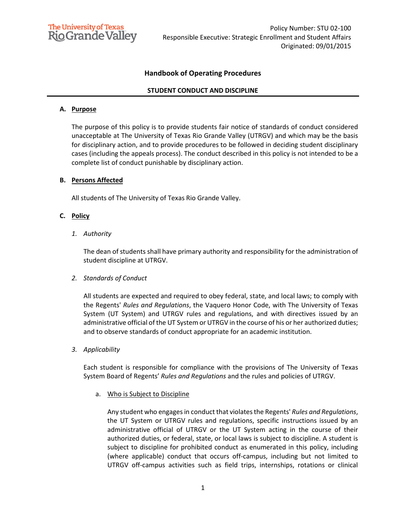

# **Handbook of Operating Procedures**

## **STUDENT CONDUCT AND DISCIPLINE**

#### **A. Purpose**

The purpose of this policy is to provide students fair notice of standards of conduct considered unacceptable at The University of Texas Rio Grande Valley (UTRGV) and which may be the basis for disciplinary action, and to provide procedures to be followed in deciding student disciplinary cases (including the appeals process). The conduct described in this policy is not intended to be a complete list of conduct punishable by disciplinary action.

## **B. Persons Affected**

All students of The University of Texas Rio Grande Valley.

## **C. Policy**

*1. Authority*

The dean of students shall have primary authority and responsibility for the administration of student discipline at UTRGV.

#### *2. Standards of Conduct*

All students are expected and required to obey federal, state, and local laws; to comply with the Regents' *Rules and Regulations*, the Vaquero Honor Code, with The University of Texas System (UT System) and UTRGV rules and regulations, and with directives issued by an administrative official of the UT System or UTRGV in the course of his or her authorized duties; and to observe standards of conduct appropriate for an academic institution.

*3. Applicability*

Each student is responsible for compliance with the provisions of The University of Texas System Board of Regents' *Rules and Regulations* and the rules and policies of UTRGV.

a. Who is Subject to Discipline

Any student who engages in conduct that violates the Regents' *Rules and Regulations*, the UT System or UTRGV rules and regulations, specific instructions issued by an administrative official of UTRGV or the UT System acting in the course of their authorized duties, or federal, state, or local laws is subject to discipline. A student is subject to discipline for prohibited conduct as enumerated in this policy, including (where applicable) conduct that occurs off-campus, including but not limited to UTRGV off-campus activities such as field trips, internships, rotations or clinical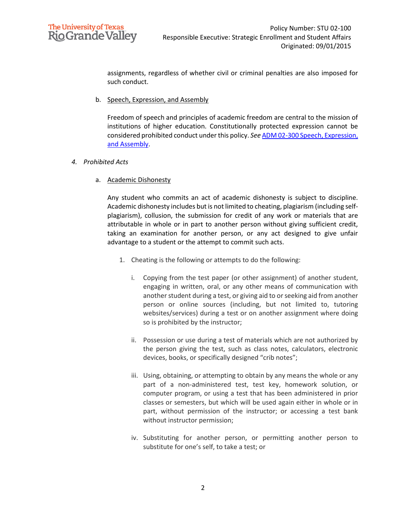

assignments, regardless of whether civil or criminal penalties are also imposed for such conduct.

b. Speech, Expression, and Assembly

Freedom of speech and principles of academic freedom are central to the mission of institutions of higher education. Constitutionally protected expression cannot be considered prohibited conduct under this policy. *See* [ADM 02-300 Speech, Expression,](https://www.utrgv.edu/hop/policies/adm-02-300.pdf)  [and Assembly.](https://www.utrgv.edu/hop/policies/adm-02-300.pdf)

## *4. Prohibited Acts*

a. Academic Dishonesty

Any student who commits an act of academic dishonesty is subject to discipline. Academic dishonesty includes but is not limited to cheating, plagiarism (including selfplagiarism), collusion, the submission for credit of any work or materials that are attributable in whole or in part to another person without giving sufficient credit, taking an examination for another person, or any act designed to give unfair advantage to a student or the attempt to commit such acts.

- 1. Cheating is the following or attempts to do the following:
	- i. Copying from the test paper (or other assignment) of another student, engaging in written, oral, or any other means of communication with another student during a test, or giving aid to or seeking aid from another person or online sources (including, but not limited to, tutoring websites/services) during a test or on another assignment where doing so is prohibited by the instructor;
	- ii. Possession or use during a test of materials which are not authorized by the person giving the test, such as class notes, calculators, electronic devices, books, or specifically designed "crib notes";
	- iii. Using, obtaining, or attempting to obtain by any means the whole or any part of a non-administered test, test key, homework solution, or computer program, or using a test that has been administered in prior classes or semesters, but which will be used again either in whole or in part, without permission of the instructor; or accessing a test bank without instructor permission;
	- iv. Substituting for another person, or permitting another person to substitute for one's self, to take a test; or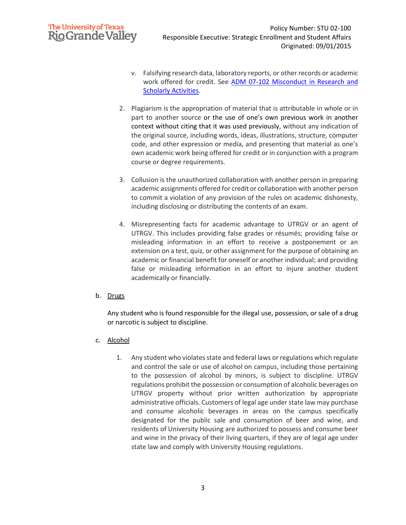# **The University of Texas Rio Grande Valley**

- v. Falsifying research data, laboratory reports, or other records or academic work offered for credit. See [ADM 07-102 Misconduct in Research and](https://www.utrgv.edu/hop/policies/adm-07-102.pdf)  [Scholarly Activities.](https://www.utrgv.edu/hop/policies/adm-07-102.pdf)
- 2. Plagiarism is the appropriation of material that is attributable in whole or in part to another source or the use of one's own previous work in another context without citing that it was used previously, without any indication of the original source, including words, ideas, illustrations, structure, computer code, and other expression or media, and presenting that material as one's own academic work being offered for credit or in conjunction with a program course or degree requirements.
- 3. Collusion is the unauthorized collaboration with another person in preparing academic assignments offered for credit or collaboration with another person to commit a violation of any provision of the rules on academic dishonesty, including disclosing or distributing the contents of an exam.
- 4. Misrepresenting facts for academic advantage to UTRGV or an agent of UTRGV. This includes providing false grades or résumés; providing false or misleading information in an effort to receive a postponement or an extension on a test, quiz, or other assignment for the purpose of obtaining an academic or financial benefit for oneself or another individual; and providing false or misleading information in an effort to injure another student academically or financially.
- b. Drugs

Any student who is found responsible for the illegal use, possession, or sale of a drug or narcotic is subject to discipline.

- c. Alcohol
	- 1. Any student who violates state and federal laws or regulations which regulate and control the sale or use of alcohol on campus, including those pertaining to the possession of alcohol by minors, is subject to discipline. UTRGV regulations prohibit the possession or consumption of alcoholic beverages on UTRGV property without prior written authorization by appropriate administrative officials. Customers of legal age under state law may purchase and consume alcoholic beverages in areas on the campus specifically designated for the public sale and consumption of beer and wine, and residents of University Housing are authorized to possess and consume beer and wine in the privacy of their living quarters, if they are of legal age under state law and comply with University Housing regulations.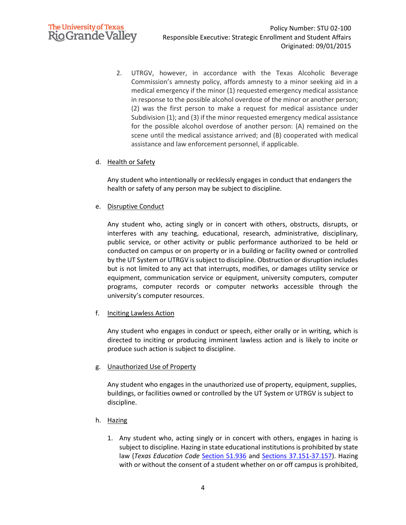

2. UTRGV, however, in accordance with the Texas Alcoholic Beverage Commission's amnesty policy, affords amnesty to a minor seeking aid in a medical emergency if the minor (1) requested emergency medical assistance in response to the possible alcohol overdose of the minor or another person; (2) was the first person to make a request for medical assistance under Subdivision (1); and (3) if the minor requested emergency medical assistance for the possible alcohol overdose of another person: (A) remained on the scene until the medical assistance arrived; and (B) cooperated with medical assistance and law enforcement personnel, if applicable.

## d. Health or Safety

Any student who intentionally or recklessly engages in conduct that endangers the health or safety of any person may be subject to discipline.

## e. Disruptive Conduct

Any student who, acting singly or in concert with others, obstructs, disrupts, or interferes with any teaching, educational, research, administrative, disciplinary, public service, or other activity or public performance authorized to be held or conducted on campus or on property or in a building or facility owned or controlled by the UT System or UTRGV is subject to discipline. Obstruction or disruption includes but is not limited to any act that interrupts, modifies, or damages utility service or equipment, communication service or equipment, university computers, computer programs, computer records or computer networks accessible through the university's computer resources.

## f. Inciting Lawless Action

Any student who engages in conduct or speech, either orally or in writing, which is directed to inciting or producing imminent lawless action and is likely to incite or produce such action is subject to discipline.

#### g. Unauthorized Use of Property

Any student who engages in the unauthorized use of property, equipment, supplies, buildings, or facilities owned or controlled by the UT System or UTRGV is subject to discipline.

- h. Hazing
	- 1. Any student who, acting singly or in concert with others, engages in hazing is subject to discipline. Hazing in state educational institutions is prohibited by state law (*Texas Education Code* [Section 51.936](http://www.statutes.legis.state.tx.us/Docs/ED/htm/ED.51.htm#51.936) and [Sections 37.151-37.157\)](http://www.statutes.legis.state.tx.us/Docs/ED/htm/ED.37.htm#37.151). Hazing with or without the consent of a student whether on or off campus is prohibited,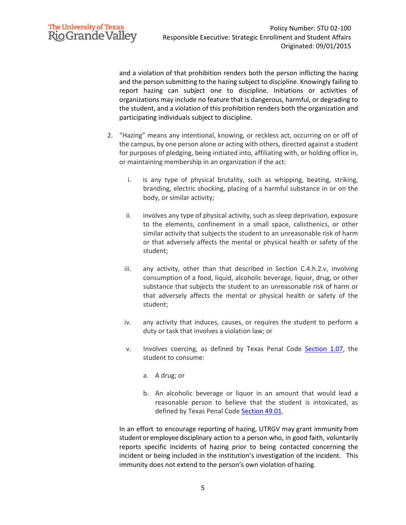and a violation of that prohibition renders both the person inflicting the hazing and the person submitting to the hazing subject to discipline. Knowingly failing to report hazing can subject one to discipline. Initiations or activities of organizations may include no feature that is dangerous, harmful, or degrading to the student, and a violation of this prohibition renders both the organization and participating individuals subject to discipline.

- 2. "Hazing" means any intentional, knowing, or reckless act, occurring on or off of the campus, by one person alone or acting with others, directed against a student for purposes of pledging, being initiated into, affiliating with, or holding office in, or maintaining membership in an organization if the act:
	- i. is any type of physical brutality, such as whipping, beating, striking, branding, electric shocking, placing of a harmful substance in or on the body, or similar activity;
	- ii. involves any type of physical activity, such as sleep deprivation, exposure to the elements, confinement in a small space, calisthenics, or other similar activity that subjects the student to an unreasonable risk of harm or that adversely affects the mental or physical health or safety of the student;
	- iii. any activity, other than that described in Section C.4.h.2.v, involving consumption of a food, liquid, alcoholic beverage, liquor, drug, or other substance that subjects the student to an unreasonable risk of harm or that adversely affects the mental or physical health or safety of the student;
	- iv. any activity that induces, causes, or requires the student to perform a duty or task that involves a violation law; or
	- v. Involves coercing, as defined by Texas Penal Code [Section 1.07,](https://statutes.capitol.texas.gov/Docs/PE/htm/PE.1.htm#1.07) the student to consume:
		- a. A drug; or
		- b. An alcoholic beverage or liquor in an amount that would lead a reasonable person to believe that the student is intoxicated, as defined by Texas Penal Code [Section 49.01.](https://statutes.capitol.texas.gov/Docs/PE/htm/PE.49.htm#49.01)

In an effort to encourage reporting of hazing, UTRGV may grant immunity from student or employee disciplinary action to a person who, in good faith, voluntarily reports specific incidents of hazing prior to being contacted concerning the incident or being included in the institution's investigation of the incident. This immunity does not extend to the person's own violation of hazing.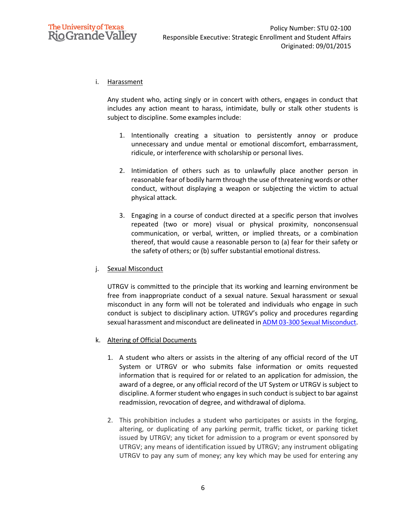

## i. Harassment

Any student who, acting singly or in concert with others, engages in conduct that includes any action meant to harass, intimidate, bully or stalk other students is subject to discipline. Some examples include:

- 1. Intentionally creating a situation to persistently annoy or produce unnecessary and undue mental or emotional discomfort, embarrassment, ridicule, or interference with scholarship or personal lives.
- 2. Intimidation of others such as to unlawfully place another person in reasonable fear of bodily harm through the use of threatening words or other conduct, without displaying a weapon or subjecting the victim to actual physical attack.
- 3. Engaging in a course of conduct directed at a specific person that involves repeated (two or more) visual or physical proximity, nonconsensual communication, or verbal, written, or implied threats, or a combination thereof, that would cause a reasonable person to (a) fear for their safety or the safety of others; or (b) suffer substantial emotional distress.

## j. Sexual Misconduct

UTRGV is committed to the principle that its working and learning environment be free from inappropriate conduct of a sexual nature. Sexual harassment or sexual misconduct in any form will not be tolerated and individuals who engage in such conduct is subject to disciplinary action. UTRGV's policy and procedures regarding sexual harassment and misconduct are delineated in ADM 03-300 [Sexual Misconduct.](https://www.utrgv.edu/hop/policies/adm-03-300.pdf)

#### k. Altering of Official Documents

- 1. A student who alters or assists in the altering of any official record of the UT System or UTRGV or who submits false information or omits requested information that is required for or related to an application for admission, the award of a degree, or any official record of the UT System or UTRGV is subject to discipline. A former student who engages in such conduct is subject to bar against readmission, revocation of degree, and withdrawal of diploma.
- 2. This prohibition includes a student who participates or assists in the forging, altering, or duplicating of any parking permit, traffic ticket, or parking ticket issued by UTRGV; any ticket for admission to a program or event sponsored by UTRGV; any means of identification issued by UTRGV; any instrument obligating UTRGV to pay any sum of money; any key which may be used for entering any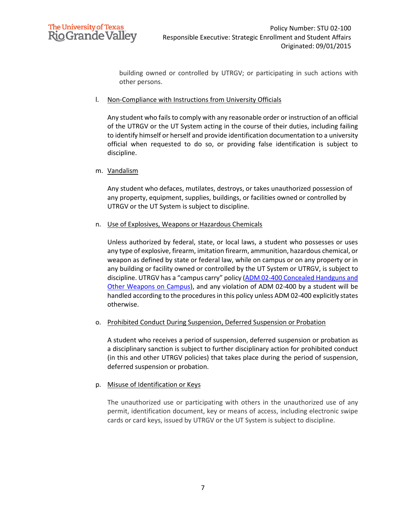

building owned or controlled by UTRGV; or participating in such actions with other persons.

#### l. Non-Compliance with Instructions from University Officials

Any student who fails to comply with any reasonable order or instruction of an official of the UTRGV or the UT System acting in the course of their duties, including failing to identify himself or herself and provide identification documentation to a university official when requested to do so, or providing false identification is subject to discipline.

## m. Vandalism

Any student who defaces, mutilates, destroys, or takes unauthorized possession of any property, equipment, supplies, buildings, or facilities owned or controlled by UTRGV or the UT System is subject to discipline.

## n. Use of Explosives, Weapons or Hazardous Chemicals

Unless authorized by federal, state, or local laws, a student who possesses or uses any type of explosive, firearm, imitation firearm, ammunition, hazardous chemical, or weapon as defined by state or federal law, while on campus or on any property or in any building or facility owned or controlled by the UT System or UTRGV, is subject to discipline. UTRGV has a "campus carry" policy ([ADM 02-400 Concealed Handguns and](https://www.utrgv.edu/hop/policies/adm-02-400.pdf)  [Other Weapons on Campus\)](https://www.utrgv.edu/hop/policies/adm-02-400.pdf), and any violation of ADM 02-400 by a student will be handled according to the procedures in this policy unless ADM 02-400 explicitly states otherwise.

## o. Prohibited Conduct During Suspension, Deferred Suspension or Probation

A student who receives a period of suspension, deferred suspension or probation as a disciplinary sanction is subject to further disciplinary action for prohibited conduct (in this and other UTRGV policies) that takes place during the period of suspension, deferred suspension or probation.

## p. Misuse of Identification or Keys

The unauthorized use or participating with others in the unauthorized use of any permit, identification document, key or means of access, including electronic swipe cards or card keys, issued by UTRGV or the UT System is subject to discipline.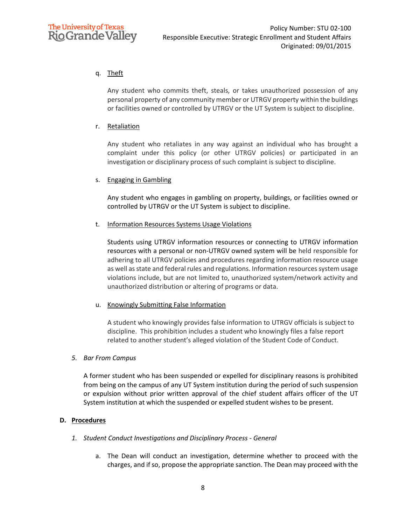# q. Theft

Any student who commits theft, steals, or takes unauthorized possession of any personal property of any community member or UTRGV property within the buildings or facilities owned or controlled by UTRGV or the UT System is subject to discipline.

## r. Retaliation

Any student who retaliates in any way against an individual who has brought a complaint under this policy (or other UTRGV policies) or participated in an investigation or disciplinary process of such complaint is subject to discipline.

## s. Engaging in Gambling

Any student who engages in gambling on property, buildings, or facilities owned or controlled by UTRGV or the UT System is subject to discipline.

## t. Information Resources Systems Usage Violations

Students using UTRGV information resources or connecting to UTRGV information resources with a personal or non-UTRGV owned system will be held responsible for adhering to all UTRGV policies and procedures regarding information resource usage as well as state and federal rules and regulations. Information resources system usage violations include, but are not limited to, unauthorized system/network activity and unauthorized distribution or altering of programs or data.

## u. Knowingly Submitting False Information

A student who knowingly provides false information to UTRGV officials is subject to discipline. This prohibition includes a student who knowingly files a false report related to another student's alleged violation of the Student Code of Conduct.

## *5. Bar From Campus*

A former student who has been suspended or expelled for disciplinary reasons is prohibited from being on the campus of any UT System institution during the period of such suspension or expulsion without prior written approval of the chief student affairs officer of the UT System institution at which the suspended or expelled student wishes to be present.

## **D. Procedures**

- *1. Student Conduct Investigations and Disciplinary Process - General*
	- a. The Dean will conduct an investigation, determine whether to proceed with the charges, and if so, propose the appropriate sanction. The Dean may proceed with the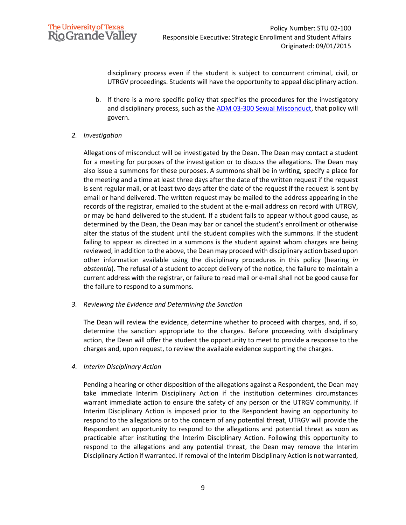

disciplinary process even if the student is subject to concurrent criminal, civil, or UTRGV proceedings. Students will have the opportunity to appeal disciplinary action.

- b. If there is a more specific policy that specifies the procedures for the investigatory and disciplinary process, such as th[e ADM 03-300 Sexual Misconduct,](https://www.utrgv.edu/hop/policies/adm-03-300.pdf) that policy will govern.
- *2. Investigation*

Allegations of misconduct will be investigated by the Dean. The Dean may contact a student for a meeting for purposes of the investigation or to discuss the allegations. The Dean may also issue a summons for these purposes. A summons shall be in writing, specify a place for the meeting and a time at least three days after the date of the written request if the request is sent regular mail, or at least two days after the date of the request if the request is sent by email or hand delivered. The written request may be mailed to the address appearing in the records of the registrar, emailed to the student at the e-mail address on record with UTRGV, or may be hand delivered to the student. If a student fails to appear without good cause, as determined by the Dean, the Dean may bar or cancel the student's enrollment or otherwise alter the status of the student until the student complies with the summons. If the student failing to appear as directed in a summons is the student against whom charges are being reviewed, in addition to the above, the Dean may proceed with disciplinary action based upon other information available using the disciplinary procedures in this policy (hearing *in abstentia*). The refusal of a student to accept delivery of the notice, the failure to maintain a current address with the registrar, or failure to read mail or e-mail shall not be good cause for the failure to respond to a summons.

*3. Reviewing the Evidence and Determining the Sanction*

The Dean will review the evidence, determine whether to proceed with charges, and, if so, determine the sanction appropriate to the charges. Before proceeding with disciplinary action, the Dean will offer the student the opportunity to meet to provide a response to the charges and, upon request, to review the available evidence supporting the charges.

*4. Interim Disciplinary Action*

Pending a hearing or other disposition of the allegations against a Respondent, the Dean may take immediate Interim Disciplinary Action if the institution determines circumstances warrant immediate action to ensure the safety of any person or the UTRGV community. If Interim Disciplinary Action is imposed prior to the Respondent having an opportunity to respond to the allegations or to the concern of any potential threat, UTRGV will provide the Respondent an opportunity to respond to the allegations and potential threat as soon as practicable after instituting the Interim Disciplinary Action. Following this opportunity to respond to the allegations and any potential threat, the Dean may remove the Interim Disciplinary Action if warranted. If removal of the Interim Disciplinary Action is not warranted,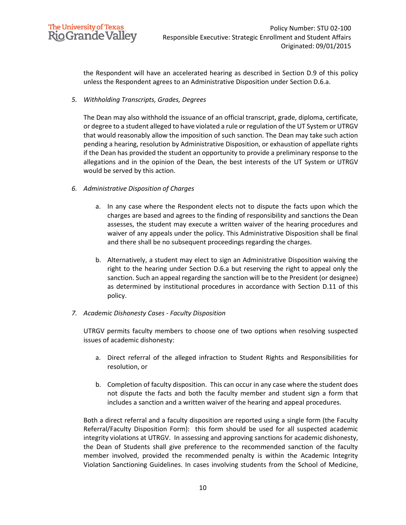

the Respondent will have an accelerated hearing as described in Section D.9 of this policy unless the Respondent agrees to an Administrative Disposition under Section D.6.a.

*5. Withholding Transcripts, Grades, Degrees*

The Dean may also withhold the issuance of an official transcript, grade, diploma, certificate, or degree to a student alleged to have violated a rule or regulation of the UT System or UTRGV that would reasonably allow the imposition of such sanction. The Dean may take such action pending a hearing, resolution by Administrative Disposition, or exhaustion of appellate rights if the Dean has provided the student an opportunity to provide a preliminary response to the allegations and in the opinion of the Dean, the best interests of the UT System or UTRGV would be served by this action.

- *6. Administrative Disposition of Charges*
	- a. In any case where the Respondent elects not to dispute the facts upon which the charges are based and agrees to the finding of responsibility and sanctions the Dean assesses, the student may execute a written waiver of the hearing procedures and waiver of any appeals under the policy. This Administrative Disposition shall be final and there shall be no subsequent proceedings regarding the charges.
	- b. Alternatively, a student may elect to sign an Administrative Disposition waiving the right to the hearing under Section D.6.a but reserving the right to appeal only the sanction. Such an appeal regarding the sanction will be to the President (or designee) as determined by institutional procedures in accordance with Section D.11 of this policy.
- *7. Academic Dishonesty Cases - Faculty Disposition*

UTRGV permits faculty members to choose one of two options when resolving suspected issues of academic dishonesty:

- a. Direct referral of the alleged infraction to Student Rights and Responsibilities for resolution, or
- b. Completion of faculty disposition. This can occur in any case where the student does not dispute the facts and both the faculty member and student sign a form that includes a sanction and a written waiver of the hearing and appeal procedures.

Both a direct referral and a faculty disposition are reported using a single form (the Faculty Referral/Faculty Disposition Form): this form should be used for all suspected academic integrity violations at UTRGV. In assessing and approving sanctions for academic dishonesty, the Dean of Students shall give preference to the recommended sanction of the faculty member involved, provided the recommended penalty is within the Academic Integrity Violation Sanctioning Guidelines. In cases involving students from the School of Medicine,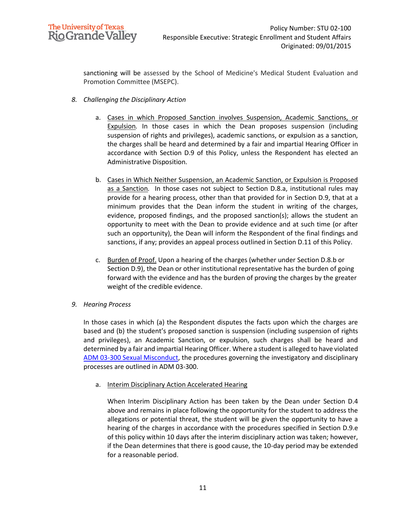

sanctioning will be assessed by the School of Medicine's Medical Student Evaluation and Promotion Committee (MSEPC).

- *8. Challenging the Disciplinary Action*
	- a. Cases in which Proposed Sanction involves Suspension, Academic Sanctions, or Expulsion*.* In those cases in which the Dean proposes suspension (including suspension of rights and privileges), academic sanctions, or expulsion as a sanction, the charges shall be heard and determined by a fair and impartial Hearing Officer in accordance with Section D.9 of this Policy, unless the Respondent has elected an Administrative Disposition.
	- b. Cases in Which Neither Suspension, an Academic Sanction, or Expulsion is Proposed as a Sanction*.* In those cases not subject to Section D.8.a, institutional rules may provide for a hearing process, other than that provided for in Section D.9, that at a minimum provides that the Dean inform the student in writing of the charges, evidence, proposed findings, and the proposed sanction(s); allows the student an opportunity to meet with the Dean to provide evidence and at such time (or after such an opportunity), the Dean will inform the Respondent of the final findings and sanctions, if any; provides an appeal process outlined in Section D.11 of this Policy.
	- c. Burden of Proof. Upon a hearing of the charges (whether under Section D.8.b or Section D.9), the Dean or other institutional representative has the burden of going forward with the evidence and has the burden of proving the charges by the greater weight of the credible evidence.
- *9. Hearing Process*

In those cases in which (a) the Respondent disputes the facts upon which the charges are based and (b) the student's proposed sanction is suspension (including suspension of rights and privileges), an Academic Sanction, or expulsion, such charges shall be heard and determined by a fair and impartial Hearing Officer. Where a student is alleged to have violated [ADM 03-300 Sexual Misconduct,](https://www.utrgv.edu/hop/policies/adm-03-300.pdf) the procedures governing the investigatory and disciplinary processes are outlined in ADM 03-300.

a. Interim Disciplinary Action Accelerated Hearing

When Interim Disciplinary Action has been taken by the Dean under Section D.4 above and remains in place following the opportunity for the student to address the allegations or potential threat, the student will be given the opportunity to have a hearing of the charges in accordance with the procedures specified in Section D.9.e of this policy within 10 days after the interim disciplinary action was taken; however, if the Dean determines that there is good cause, the 10-day period may be extended for a reasonable period.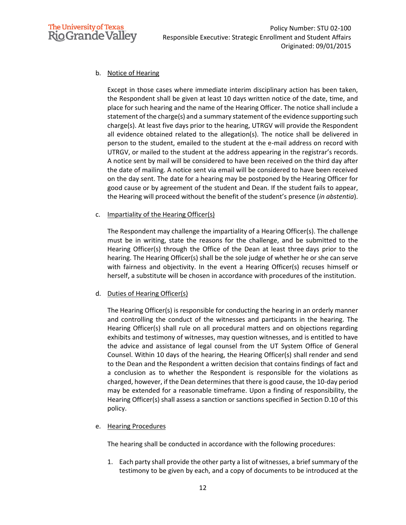

# b. Notice of Hearing

Except in those cases where immediate interim disciplinary action has been taken, the Respondent shall be given at least 10 days written notice of the date, time, and place for such hearing and the name of the Hearing Officer. The notice shall include a statement of the charge(s) and a summary statement of the evidence supporting such charge(s). At least five days prior to the hearing, UTRGV will provide the Respondent all evidence obtained related to the allegation(s). The notice shall be delivered in person to the student, emailed to the student at the e-mail address on record with UTRGV, or mailed to the student at the address appearing in the registrar's records. A notice sent by mail will be considered to have been received on the third day after the date of mailing. A notice sent via email will be considered to have been received on the day sent. The date for a hearing may be postponed by the Hearing Officer for good cause or by agreement of the student and Dean. If the student fails to appear, the Hearing will proceed without the benefit of the student's presence (*in abstentia*).

## c. Impartiality of the Hearing Officer(s)

The Respondent may challenge the impartiality of a Hearing Officer(s). The challenge must be in writing, state the reasons for the challenge, and be submitted to the Hearing Officer(s) through the Office of the Dean at least three days prior to the hearing. The Hearing Officer(s) shall be the sole judge of whether he or she can serve with fairness and objectivity. In the event a Hearing Officer(s) recuses himself or herself, a substitute will be chosen in accordance with procedures of the institution.

## d. Duties of Hearing Officer(s)

The Hearing Officer(s) is responsible for conducting the hearing in an orderly manner and controlling the conduct of the witnesses and participants in the hearing. The Hearing Officer(s) shall rule on all procedural matters and on objections regarding exhibits and testimony of witnesses, may question witnesses, and is entitled to have the advice and assistance of legal counsel from the UT System Office of General Counsel. Within 10 days of the hearing, the Hearing Officer(s) shall render and send to the Dean and the Respondent a written decision that contains findings of fact and a conclusion as to whether the Respondent is responsible for the violations as charged, however, if the Dean determines that there is good cause, the 10-day period may be extended for a reasonable timeframe. Upon a finding of responsibility, the Hearing Officer(s) shall assess a sanction or sanctions specified in Section D.10 of this policy.

## e. Hearing Procedures

The hearing shall be conducted in accordance with the following procedures:

1. Each party shall provide the other party a list of witnesses, a brief summary of the testimony to be given by each, and a copy of documents to be introduced at the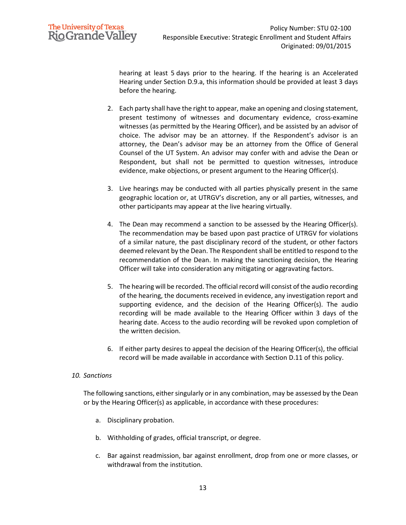

hearing at least 5 days prior to the hearing. If the hearing is an Accelerated Hearing under Section D.9.a, this information should be provided at least 3 days before the hearing.

- 2. Each party shall have the right to appear, make an opening and closing statement, present testimony of witnesses and documentary evidence, cross-examine witnesses (as permitted by the Hearing Officer), and be assisted by an advisor of choice. The advisor may be an attorney. If the Respondent's advisor is an attorney, the Dean's advisor may be an attorney from the Office of General Counsel of the UT System. An advisor may confer with and advise the Dean or Respondent, but shall not be permitted to question witnesses, introduce evidence, make objections, or present argument to the Hearing Officer(s).
- 3. Live hearings may be conducted with all parties physically present in the same geographic location or, at UTRGV's discretion, any or all parties, witnesses, and other participants may appear at the live hearing virtually.
- 4. The Dean may recommend a sanction to be assessed by the Hearing Officer(s). The recommendation may be based upon past practice of UTRGV for violations of a similar nature, the past disciplinary record of the student, or other factors deemed relevant by the Dean. The Respondent shall be entitled to respond to the recommendation of the Dean. In making the sanctioning decision, the Hearing Officer will take into consideration any mitigating or aggravating factors.
- 5. The hearing will be recorded. The official record will consist of the audio recording of the hearing, the documents received in evidence, any investigation report and supporting evidence, and the decision of the Hearing Officer(s). The audio recording will be made available to the Hearing Officer within 3 days of the hearing date. Access to the audio recording will be revoked upon completion of the written decision.
- 6. If either party desires to appeal the decision of the Hearing Officer(s), the official record will be made available in accordance with Section D.11 of this policy.

## *10. Sanctions*

The following sanctions, either singularly or in any combination, may be assessed by the Dean or by the Hearing Officer(s) as applicable, in accordance with these procedures:

- a. Disciplinary probation.
- b. Withholding of grades, official transcript, or degree.
- c. Bar against readmission, bar against enrollment, drop from one or more classes, or withdrawal from the institution.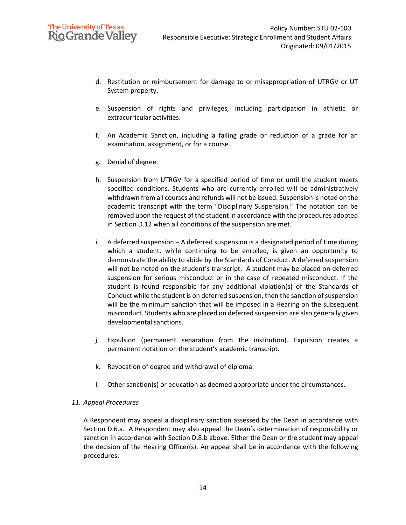- d. Restitution or reimbursement for damage to or misappropriation of UTRGV or UT System property.
- e. Suspension of rights and privileges, including participation in athletic or extracurricular activities.
- f. An Academic Sanction, including a failing grade or reduction of a grade for an examination, assignment, or for a course.
- g. Denial of degree.
- h. Suspension from UTRGV for a specified period of time or until the student meets specified conditions. Students who are currently enrolled will be administratively withdrawn from all courses and refunds will not be issued. Suspension is noted on the academic transcript with the term "Disciplinary Suspension." The notation can be removed upon the request of the student in accordance with the procedures adopted in Section D.12 when all conditions of the suspension are met.
- i. A deferred suspension A deferred suspension is a designated period of time during which a student, while continuing to be enrolled, is given an opportunity to demonstrate the ability to abide by the Standards of Conduct. A deferred suspension will not be noted on the student's transcript. A student may be placed on deferred suspension for serious misconduct or in the case of repeated misconduct. If the student is found responsible for any additional violation(s) of the Standards of Conduct while the student is on deferred suspension, then the sanction of suspension will be the minimum sanction that will be imposed in a Hearing on the subsequent misconduct. Students who are placed on deferred suspension are also generally given developmental sanctions.
- j. Expulsion (permanent separation from the institution). Expulsion creates a permanent notation on the student's academic transcript.
- k. Revocation of degree and withdrawal of diploma.
- l. Other sanction(s) or education as deemed appropriate under the circumstances.

## *11. Appeal Procedures*

A Respondent may appeal a disciplinary sanction assessed by the Dean in accordance with Section D.6.a. A Respondent may also appeal the Dean's determination of responsibility or sanction in accordance with Section D.8.b above. Either the Dean or the student may appeal the decision of the Hearing Officer(s). An appeal shall be in accordance with the following procedures: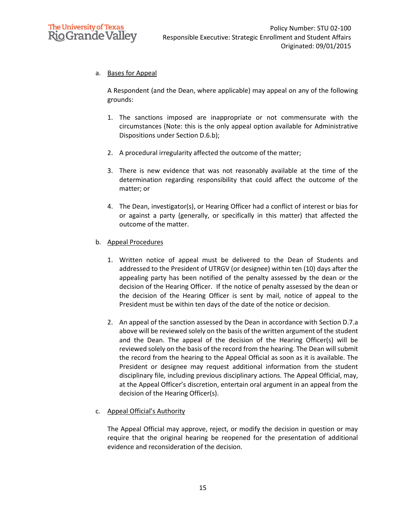

# a. Bases for Appeal

A Respondent (and the Dean, where applicable) may appeal on any of the following grounds:

- 1. The sanctions imposed are inappropriate or not commensurate with the circumstances (Note: this is the only appeal option available for Administrative Dispositions under Section D.6.b);
- 2. A procedural irregularity affected the outcome of the matter;
- 3. There is new evidence that was not reasonably available at the time of the determination regarding responsibility that could affect the outcome of the matter; or
- 4. The Dean, investigator(s), or Hearing Officer had a conflict of interest or bias for or against a party (generally, or specifically in this matter) that affected the outcome of the matter.
- b. Appeal Procedures
	- 1. Written notice of appeal must be delivered to the Dean of Students and addressed to the President of UTRGV (or designee) within ten (10) days after the appealing party has been notified of the penalty assessed by the dean or the decision of the Hearing Officer. If the notice of penalty assessed by the dean or the decision of the Hearing Officer is sent by mail, notice of appeal to the President must be within ten days of the date of the notice or decision.
	- 2. An appeal of the sanction assessed by the Dean in accordance with Section D.7.a above will be reviewed solely on the basis of the written argument of the student and the Dean. The appeal of the decision of the Hearing Officer(s) will be reviewed solely on the basis of the record from the hearing. The Dean will submit the record from the hearing to the Appeal Official as soon as it is available. The President or designee may request additional information from the student disciplinary file, including previous disciplinary actions. The Appeal Official, may, at the Appeal Officer's discretion, entertain oral argument in an appeal from the decision of the Hearing Officer(s).
- c. Appeal Official's Authority

The Appeal Official may approve, reject, or modify the decision in question or may require that the original hearing be reopened for the presentation of additional evidence and reconsideration of the decision.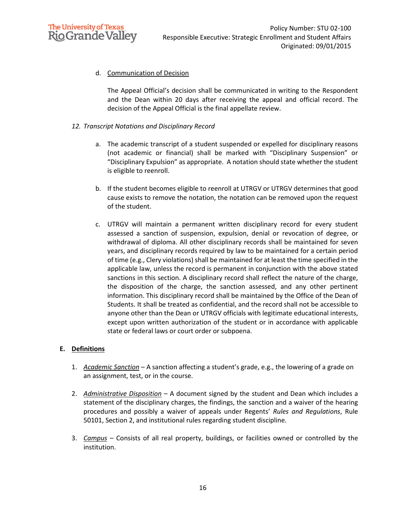

## d. Communication of Decision

The Appeal Official's decision shall be communicated in writing to the Respondent and the Dean within 20 days after receiving the appeal and official record. The decision of the Appeal Official is the final appellate review.

## *12. Transcript Notations and Disciplinary Record*

- a. The academic transcript of a student suspended or expelled for disciplinary reasons (not academic or financial) shall be marked with "Disciplinary Suspension" or "Disciplinary Expulsion" as appropriate. A notation should state whether the student is eligible to reenroll.
- b. If the student becomes eligible to reenroll at UTRGV or UTRGV determines that good cause exists to remove the notation, the notation can be removed upon the request of the student.
- c. UTRGV will maintain a permanent written disciplinary record for every student assessed a sanction of suspension, expulsion, denial or revocation of degree, or withdrawal of diploma. All other disciplinary records shall be maintained for seven years, and disciplinary records required by law to be maintained for a certain period of time (e.g., Clery violations) shall be maintained for at least the time specified in the applicable law, unless the record is permanent in conjunction with the above stated sanctions in this section. A disciplinary record shall reflect the nature of the charge, the disposition of the charge, the sanction assessed, and any other pertinent information. This disciplinary record shall be maintained by the Office of the Dean of Students. It shall be treated as confidential, and the record shall not be accessible to anyone other than the Dean or UTRGV officials with legitimate educational interests, except upon written authorization of the student or in accordance with applicable state or federal laws or court order or subpoena.

## **E. Definitions**

- 1. *Academic Sanction* A sanction affecting a student's grade, e.g., the lowering of a grade on an assignment, test, or in the course.
- 2. *Administrative Disposition* A document signed by the student and Dean which includes a statement of the disciplinary charges, the findings, the sanction and a waiver of the hearing procedures and possibly a waiver of appeals under Regents' *Rules and Regulations*, Rule 50101, Section 2, and institutional rules regarding student discipline.
- 3. *Campus* Consists of all real property, buildings, or facilities owned or controlled by the institution.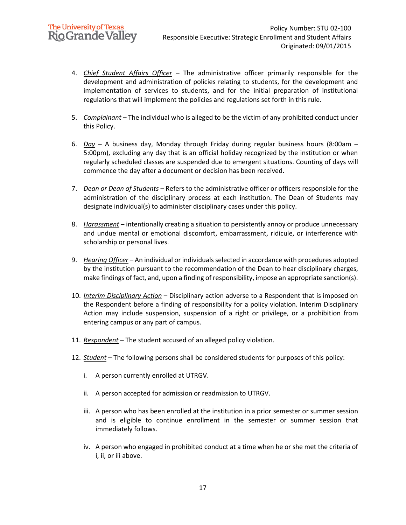- 4. *Chief Student Affairs Officer* The administrative officer primarily responsible for the development and administration of policies relating to students, for the development and implementation of services to students, and for the initial preparation of institutional regulations that will implement the policies and regulations set forth in this rule.
- 5. *Complainant* The individual who is alleged to be the victim of any prohibited conduct under this Policy.
- 6. *Day* A business day, Monday through Friday during regular business hours (8:00am 5:00pm), excluding any day that is an official holiday recognized by the institution or when regularly scheduled classes are suspended due to emergent situations. Counting of days will commence the day after a document or decision has been received.
- 7. *Dean or Dean of Students* Refers to the administrative officer or officers responsible for the administration of the disciplinary process at each institution. The Dean of Students may designate individual(s) to administer disciplinary cases under this policy.
- 8. *Harassment* intentionally creating a situation to persistently annoy or produce unnecessary and undue mental or emotional discomfort, embarrassment, ridicule, or interference with scholarship or personal lives.
- 9. *Hearing Officer* An individual or individuals selected in accordance with procedures adopted by the institution pursuant to the recommendation of the Dean to hear disciplinary charges, make findings of fact, and, upon a finding of responsibility, impose an appropriate sanction(s).
- 10. *Interim Disciplinary Action* Disciplinary action adverse to a Respondent that is imposed on the Respondent before a finding of responsibility for a policy violation. Interim Disciplinary Action may include suspension, suspension of a right or privilege, or a prohibition from entering campus or any part of campus.
- 11. *Respondent* The student accused of an alleged policy violation.
- 12. *Student* The following persons shall be considered students for purposes of this policy:
	- i. A person currently enrolled at UTRGV.
	- ii. A person accepted for admission or readmission to UTRGV.
	- iii. A person who has been enrolled at the institution in a prior semester or summer session and is eligible to continue enrollment in the semester or summer session that immediately follows.
	- iv. A person who engaged in prohibited conduct at a time when he or she met the criteria of i, ii, or iii above.